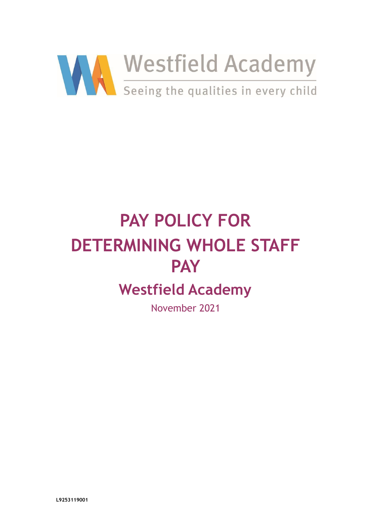

# **PAY POLICY FOR DETERMINING WHOLE STAFF PAY Westfield Academy** November 2021

**L9253119001**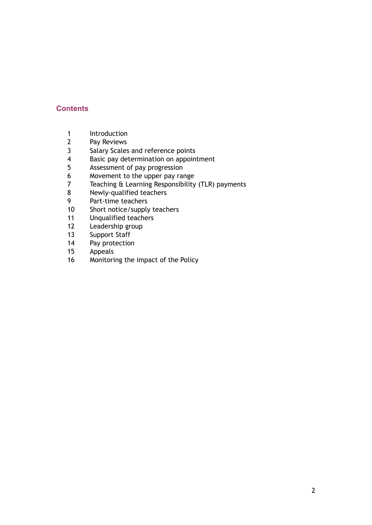# **Contents**

- 1 Introduction<br>2 Pav Reviews
- 2 Pay Reviews<br>3 Salary Scales
- Salary Scales and reference points
- 4 Basic pay determination on appointment
- 5 Assessment of pay progression
- 6 Movement to the upper pay range
- 7 Teaching & Learning Responsibility (TLR) payments<br>8 Newly-qualified teachers
- 8 Newly-qualified teachers<br>9 Part-time teachers
- 9 Part-time teachers<br>10 Short notice/supply
- Short notice/supply teachers
- 11 Unqualified teachers
- 12 Leadership group
- 13 Support Staff<br>14 Pay protection
- 14 Pay protection<br>15 Appeals
- Appeals
- 16 Monitoring the impact of the Policy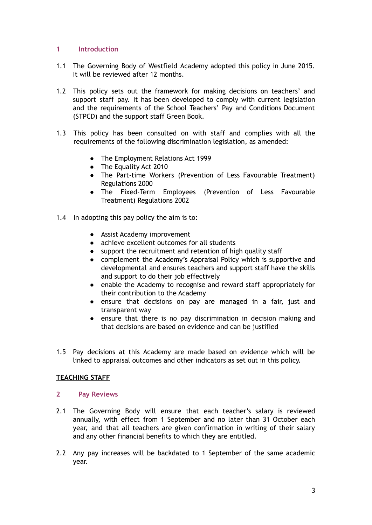### **1 Introduction**

- 1.1 The Governing Body of Westfield Academy adopted this policy in June 2015. It will be reviewed after 12 months.
- 1.2 This policy sets out the framework for making decisions on teachers' and support staff pay. It has been developed to comply with current legislation and the requirements of the School Teachers' Pay and Conditions Document (STPCD) and the support staff Green Book.
- 1.3 This policy has been consulted on with staff and complies with all the requirements of the following discrimination legislation, as amended:
	- The Employment Relations Act 1999
	- The Equality Act 2010
	- The Part-time Workers (Prevention of Less Favourable Treatment) Regulations 2000
	- The Fixed-Term Employees (Prevention of Less Favourable Treatment) Regulations 2002
- 1.4 In adopting this pay policy the aim is to:
	- Assist Academy improvement
	- achieve excellent outcomes for all students
	- support the recruitment and retention of high quality staff
	- complement the Academy's Appraisal Policy which is supportive and developmental and ensures teachers and support staff have the skills and support to do their job effectively
	- enable the Academy to recognise and reward staff appropriately for their contribution to the Academy
	- ensure that decisions on pay are managed in a fair, just and transparent way
	- ensure that there is no pay discrimination in decision making and that decisions are based on evidence and can be justified
- 1.5 Pay decisions at this Academy are made based on evidence which will be linked to appraisal outcomes and other indicators as set out in this policy.

# **TEACHING STAFF**

#### **2 Pay Reviews**

- 2.1 The Governing Body will ensure that each teacher's salary is reviewed annually, with effect from 1 September and no later than 31 October each year, and that all teachers are given confirmation in writing of their salary and any other financial benefits to which they are entitled.
- 2.2 Any pay increases will be backdated to 1 September of the same academic year.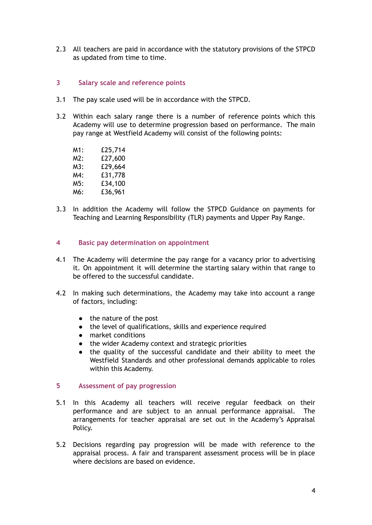2.3 All teachers are paid in accordance with the statutory provisions of the STPCD as updated from time to time.

#### **3 Salary scale and reference points**

- 3.1 The pay scale used will be in accordance with the STPCD.
- 3.2 Within each salary range there is a number of reference points which this Academy will use to determine progression based on performance. The main pay range at Westfield Academy will consist of the following points:
	- M1: £25,714 M2: £27,600 M3: £29,664 M4: £31,778 M5: £34,100 M6: £36,961
- 3.3 In addition the Academy will follow the STPCD Guidance on payments for Teaching and Learning Responsibility (TLR) payments and Upper Pay Range.

#### **4 Basic pay determination on appointment**

- 4.1 The Academy will determine the pay range for a vacancy prior to advertising it. On appointment it will determine the starting salary within that range to be offered to the successful candidate.
- 4.2 In making such determinations, the Academy may take into account a range of factors, including:
	- the nature of the post
	- the level of qualifications, skills and experience required
	- market conditions
	- the wider Academy context and strategic priorities
	- the quality of the successful candidate and their ability to meet the Westfield Standards and other professional demands applicable to roles within this Academy.

#### **5 Assessment of pay progression**

- 5.1 In this Academy all teachers will receive regular feedback on their performance and are subject to an annual performance appraisal. The arrangements for teacher appraisal are set out in the Academy's Appraisal Policy.
- 5.2 Decisions regarding pay progression will be made with reference to the appraisal process. A fair and transparent assessment process will be in place where decisions are based on evidence.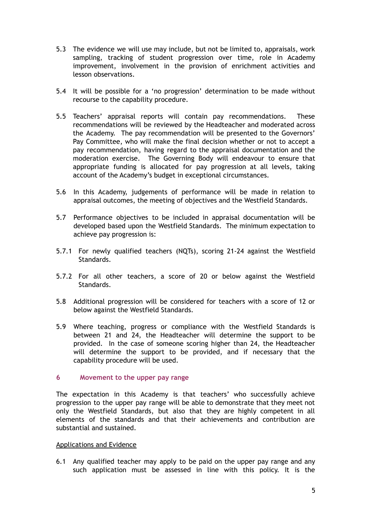- 5.3 The evidence we will use may include, but not be limited to, appraisals, work sampling, tracking of student progression over time, role in Academy improvement, involvement in the provision of enrichment activities and lesson observations.
- 5.4 It will be possible for a 'no progression' determination to be made without recourse to the capability procedure.
- 5.5 Teachers' appraisal reports will contain pay recommendations. These recommendations will be reviewed by the Headteacher and moderated across the Academy. The pay recommendation will be presented to the Governors' Pay Committee, who will make the final decision whether or not to accept a pay recommendation, having regard to the appraisal documentation and the moderation exercise. The Governing Body will endeavour to ensure that appropriate funding is allocated for pay progression at all levels, taking account of the Academy's budget in exceptional circumstances.
- 5.6 In this Academy, judgements of performance will be made in relation to appraisal outcomes, the meeting of objectives and the Westfield Standards.
- 5.7 Performance objectives to be included in appraisal documentation will be developed based upon the Westfield Standards. The minimum expectation to achieve pay progression is:
- 5.7.1 For newly qualified teachers (NQTs), scoring 21-24 against the Westfield Standards.
- 5.7.2 For all other teachers, a score of 20 or below against the Westfield Standards.
- 5.8 Additional progression will be considered for teachers with a score of 12 or below against the Westfield Standards.
- 5.9 Where teaching, progress or compliance with the Westfield Standards is between 21 and 24, the Headteacher will determine the support to be provided. In the case of someone scoring higher than 24, the Headteacher will determine the support to be provided, and if necessary that the capability procedure will be used.

#### **6 Movement to the upper pay range**

The expectation in this Academy is that teachers' who successfully achieve progression to the upper pay range will be able to demonstrate that they meet not only the Westfield Standards, but also that they are highly competent in all elements of the standards and that their achievements and contribution are substantial and sustained.

#### Applications and Evidence

6.1 Any qualified teacher may apply to be paid on the upper pay range and any such application must be assessed in line with this policy. It is the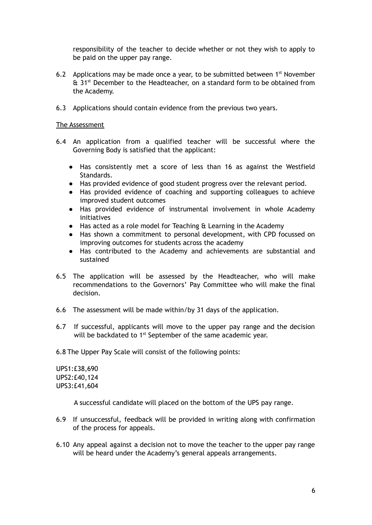responsibility of the teacher to decide whether or not they wish to apply to be paid on the upper pay range.

- 6.2 Applications may be made once a year, to be submitted between  $1<sup>st</sup>$  November & 31<sup>st</sup> December to the Headteacher, on a standard form to be obtained from the Academy.
- 6.3 Applications should contain evidence from the previous two years.

#### The Assessment

- 6.4 An application from a qualified teacher will be successful where the Governing Body is satisfied that the applicant:
	- Has consistently met a score of less than 16 as against the Westfield Standards.
	- Has provided evidence of good student progress over the relevant period.
	- Has provided evidence of coaching and supporting colleagues to achieve improved student outcomes
	- Has provided evidence of instrumental involvement in whole Academy initiatives
	- Has acted as a role model for Teaching & Learning in the Academy
	- Has shown a commitment to personal development, with CPD focussed on improving outcomes for students across the academy
	- Has contributed to the Academy and achievements are substantial and sustained
- 6.5 The application will be assessed by the Headteacher, who will make recommendations to the Governors' Pay Committee who will make the final decision.
- 6.6 The assessment will be made within/by 31 days of the application.
- 6.7 If successful, applicants will move to the upper pay range and the decision will be backdated to 1<sup>st</sup> September of the same academic year.

6.8 The Upper Pay Scale will consist of the following points:

UPS1:£38,690 UPS2:£40,124 UPS3:£41,604

A successful candidate will placed on the bottom of the UPS pay range.

- 6.9 If unsuccessful, feedback will be provided in writing along with confirmation of the process for appeals.
- 6.10 Any appeal against a decision not to move the teacher to the upper pay range will be heard under the Academy's general appeals arrangements.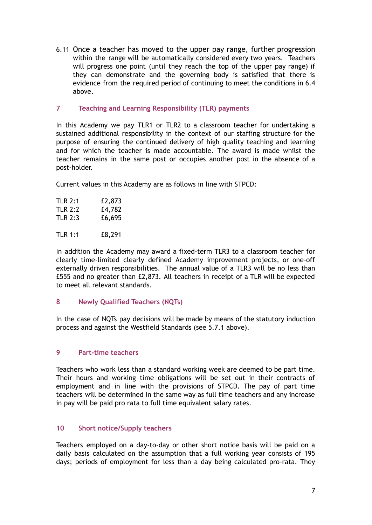6.11 Once a teacher has moved to the upper pay range, further progression within the range will be automatically considered every two years. Teachers will progress one point (until they reach the top of the upper pay range) if they can demonstrate and the governing body is satisfied that there is evidence from the required period of continuing to meet the conditions in 6.4 above.

### **7 Teaching and Learning Responsibility (TLR) payments**

In this Academy we pay TLR1 or TLR2 to a classroom teacher for undertaking a sustained additional responsibility in the context of our staffing structure for the purpose of ensuring the continued delivery of high quality teaching and learning and for which the teacher is made accountable. The award is made whilst the teacher remains in the same post or occupies another post in the absence of a post-holder.

Current values in this Academy are as follows in line with STPCD:

| <b>TLR 2:1</b> | £2,873 |
|----------------|--------|
| <b>TLR 2:2</b> | £4,782 |
| TLR 2:3        | £6,695 |
| <b>TLR 1:1</b> | £8,291 |

In addition the Academy may award a fixed-term TLR3 to a classroom teacher for clearly time-limited clearly defined Academy improvement projects, or one-off externally driven responsibilities. The annual value of a TLR3 will be no less than £555 and no greater than £2,873. All teachers in receipt of a TLR will be expected to meet all relevant standards.

# **8 Newly Qualified Teachers (NQTs)**

In the case of NQTs pay decisions will be made by means of the statutory induction process and against the Westfield Standards (see 5.7.1 above).

# **9 Part-time teachers**

Teachers who work less than a standard working week are deemed to be part time. Their hours and working time obligations will be set out in their contracts of employment and in line with the provisions of STPCD. The pay of part time teachers will be determined in the same way as full time teachers and any increase in pay will be paid pro rata to full time equivalent salary rates.

# **10 Short notice/Supply teachers**

Teachers employed on a day-to-day or other short notice basis will be paid on a daily basis calculated on the assumption that a full working year consists of 195 days; periods of employment for less than a day being calculated pro-rata. They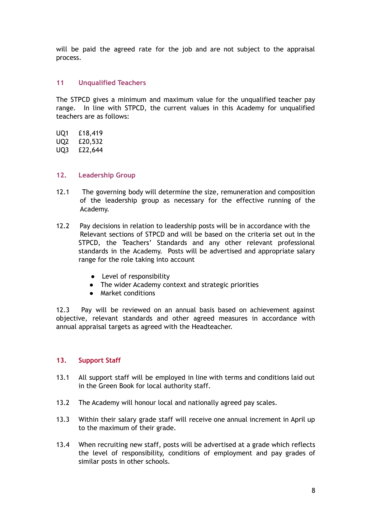will be paid the agreed rate for the job and are not subject to the appraisal process.

## **11 Unqualified Teachers**

The STPCD gives a minimum and maximum value for the unqualified teacher pay range. In line with STPCD, the current values in this Academy for unqualified teachers are as follows:

- UQ1 £18,419
- UQ2 £20,532
- UQ3 £22,644

## **12. Leadership Group**

- 12.1 The governing body will determine the size, remuneration and composition of the leadership group as necessary for the effective running of the Academy.
- 12.2 Pay decisions in relation to leadership posts will be in accordance with the Relevant sections of STPCD and will be based on the criteria set out in the STPCD, the Teachers' Standards and any other relevant professional standards in the Academy. Posts will be advertised and appropriate salary range for the role taking into account
	- Level of responsibility
	- The wider Academy context and strategic priorities
	- Market conditions

12.3 Pay will be reviewed on an annual basis based on achievement against objective, relevant standards and other agreed measures in accordance with annual appraisal targets as agreed with the Headteacher.

#### **13. Support Staff**

- 13.1 All support staff will be employed in line with terms and conditions laid out in the Green Book for local authority staff.
- 13.2 The Academy will honour local and nationally agreed pay scales.
- 13.3 Within their salary grade staff will receive one annual increment in April up to the maximum of their grade.
- 13.4 When recruiting new staff, posts will be advertised at a grade which reflects the level of responsibility, conditions of employment and pay grades of similar posts in other schools.